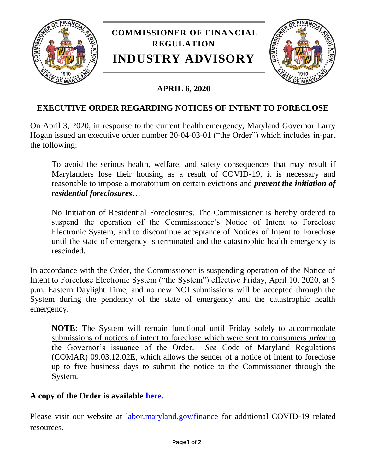

## **APRIL 6, 2020**

## **EXECUTIVE ORDER REGARDING NOTICES OF INTENT TO FORECLOSE**

On April 3, 2020, in response to the current health emergency, Maryland Governor Larry Hogan issued an executive order number 20-04-03-01 ("the Order") which includes in-part the following:

To avoid the serious health, welfare, and safety consequences that may result if Marylanders lose their housing as a result of COVID-19, it is necessary and reasonable to impose a moratorium on certain evictions and *prevent the initiation of residential foreclosures*…

No Initiation of Residential Foreclosures. The Commissioner is hereby ordered to suspend the operation of the Commissioner's Notice of Intent to Foreclose Electronic System, and to discontinue acceptance of Notices of Intent to Foreclose until the state of emergency is terminated and the catastrophic health emergency is rescinded.

In accordance with the Order, the Commissioner is suspending operation of the Notice of Intent to Foreclose Electronic System ("the System") effective Friday, April 10, 2020, at 5 p.m. Eastern Daylight Time, and no new NOI submissions will be accepted through the System during the pendency of the state of emergency and the catastrophic health emergency.

**NOTE:** The System will remain functional until Friday solely to accommodate submissions of notices of intent to foreclose which were sent to consumers *prior* to the Governor's issuance of the Order. *See* Code of Maryland Regulations (COMAR) 09.03.12.02E, which allows the sender of a notice of intent to foreclose up to five business days to submit the notice to the Commissioner through the System.

## **A copy of the Order is available [here.](https://governor.maryland.gov/wp-content/uploads/2020/04/Evictions-Repossessions-Foreclosure-AMENDED-4.3.20.pdf)**

Please visit our website at [labor.maryland.gov/finance](http://www.labor.maryland.gov/finance/) for additional COVID-19 related resources.